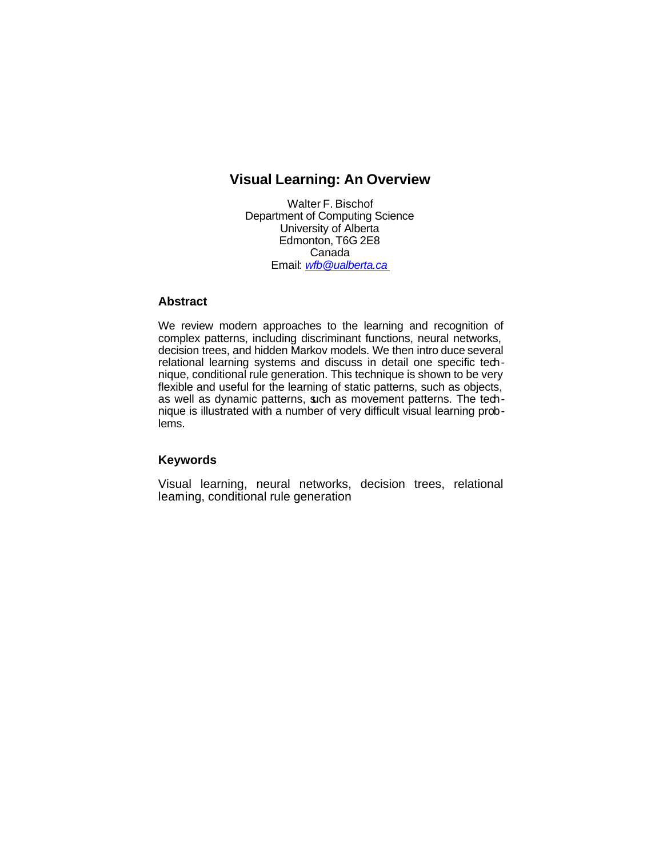# **Visual Learning: An Overview**

Walter F. Bischof Department of Computing Science University of Alberta Edmonton, T6G 2E8 Canada Email: *wfb@ualberta.ca*

# **Abstract**

We review modern approaches to the learning and recognition of complex patterns, including discriminant functions, neural networks, decision trees, and hidden Markov models. We then intro duce several relational learning systems and discuss in detail one specific technique, conditional rule generation. This technique is shown to be very flexible and useful for the learning of static patterns, such as objects, as well as dynamic patterns, such as movement patterns. The technique is illustrated with a number of very difficult visual learning problems.

# **Keywords**

Visual learning, neural networks, decision trees, relational leaming, conditional rule generation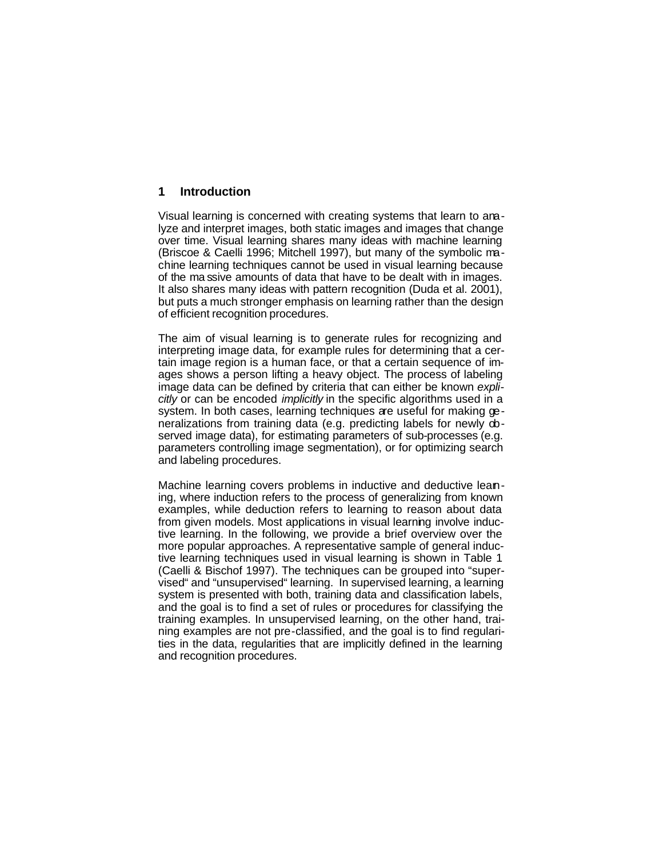# **1 Introduction**

Visual learning is concerned with creating systems that learn to analyze and interpret images, both static images and images that change over time. Visual learning shares many ideas with machine learning (Briscoe & Caelli 1996; Mitchell 1997), but many of the symbolic machine learning techniques cannot be used in visual learning because of the ma ssive amounts of data that have to be dealt with in images. It also shares many ideas with pattern recognition (Duda et al. 2001), but puts a much stronger emphasis on learning rather than the design of efficient recognition procedures.

The aim of visual learning is to generate rules for recognizing and interpreting image data, for example rules for determining that a certain image region is a human face, or that a certain sequence of images shows a person lifting a heavy object. The process of labeling image data can be defined by criteria that can either be known *explicitly* or can be encoded *implicitly* in the specific algorithms used in a system. In both cases, learning techniques are useful for making generalizations from training data (e.g. predicting labels for newly observed image data), for estimating parameters of sub-processes (e.g. parameters controlling image segmentation), or for optimizing search and labeling procedures.

Machine learning covers problems in inductive and deductive leaning, where induction refers to the process of generalizing from known examples, while deduction refers to learning to reason about data from given models. Most applications in visual learning involve inductive learning. In the following, we provide a brief overview over the more popular approaches. A representative sample of general inductive learning techniques used in visual learning is shown in Table 1 (Caelli & Bischof 1997). The techniques can be grouped into "supervised" and "unsupervised" learning. In supervised learning, a learning system is presented with both, training data and classification labels, and the goal is to find a set of rules or procedures for classifying the training examples. In unsupervised learning, on the other hand, training examples are not pre-classified, and the goal is to find regularities in the data, regularities that are implicitly defined in the learning and recognition procedures.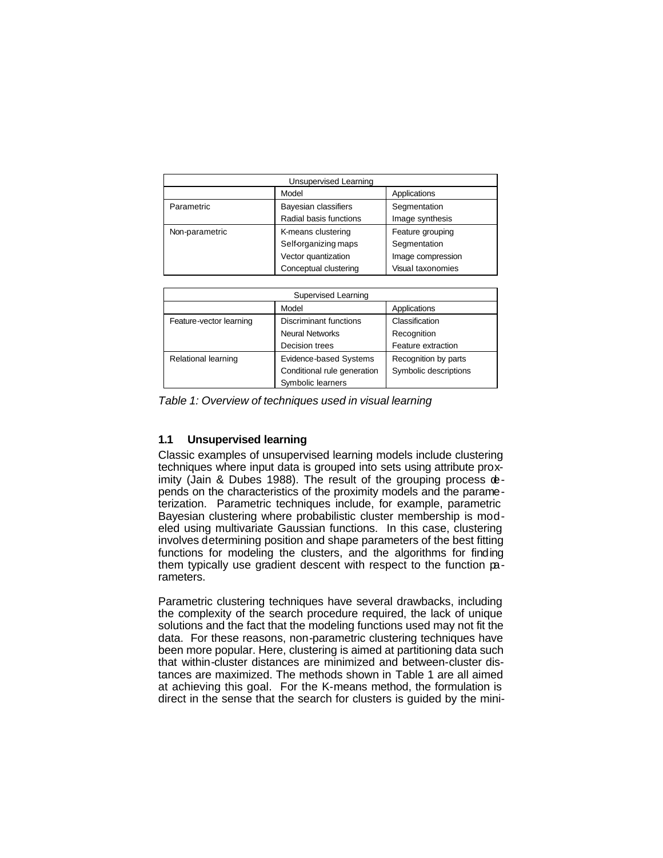| Unsupervised Learning |                                           |                   |  |
|-----------------------|-------------------------------------------|-------------------|--|
|                       | Model<br>Applications                     |                   |  |
| Parametric            | Bayesian classifiers                      | Segmentation      |  |
|                       | Radial basis functions<br>Image synthesis |                   |  |
| Non-parametric        | K-means clustering                        | Feature grouping  |  |
|                       | Self-organizing maps                      | Segmentation      |  |
|                       | Vector quantization                       | Image compression |  |
|                       | Conceptual clustering                     | Visual taxonomies |  |

| <b>Supervised Learning</b> |                               |                       |  |
|----------------------------|-------------------------------|-----------------------|--|
|                            | Model                         | Applications          |  |
| Feature-vector learning    | <b>Discriminant functions</b> | Classification        |  |
|                            | <b>Neural Networks</b>        | Recognition           |  |
|                            | Decision trees                | Feature extraction    |  |
| Relational learning        | Evidence-based Systems        | Recognition by parts  |  |
|                            | Conditional rule generation   | Symbolic descriptions |  |
|                            | Symbolic learners             |                       |  |

*Table 1: Overview of techniques used in visual learning*

# **1.1 Unsupervised learning**

Classic examples of unsupervised learning models include clustering techniques where input data is grouped into sets using attribute proximity (Jain & Dubes 1988). The result of the grouping process depends on the characteristics of the proximity models and the parameterization. Parametric techniques include, for example, parametric Bayesian clustering where probabilistic cluster membership is modeled using multivariate Gaussian functions. In this case, clustering involves determining position and shape parameters of the best fitting functions for modeling the clusters, and the algorithms for finding them typically use gradient descent with respect to the function parameters.

Parametric clustering techniques have several drawbacks, including the complexity of the search procedure required, the lack of unique solutions and the fact that the modeling functions used may not fit the data. For these reasons, non-parametric clustering techniques have been more popular. Here, clustering is aimed at partitioning data such that within-cluster distances are minimized and between-cluster distances are maximized. The methods shown in Table 1 are all aimed at achieving this goal. For the K-means method, the formulation is direct in the sense that the search for clusters is guided by the mini-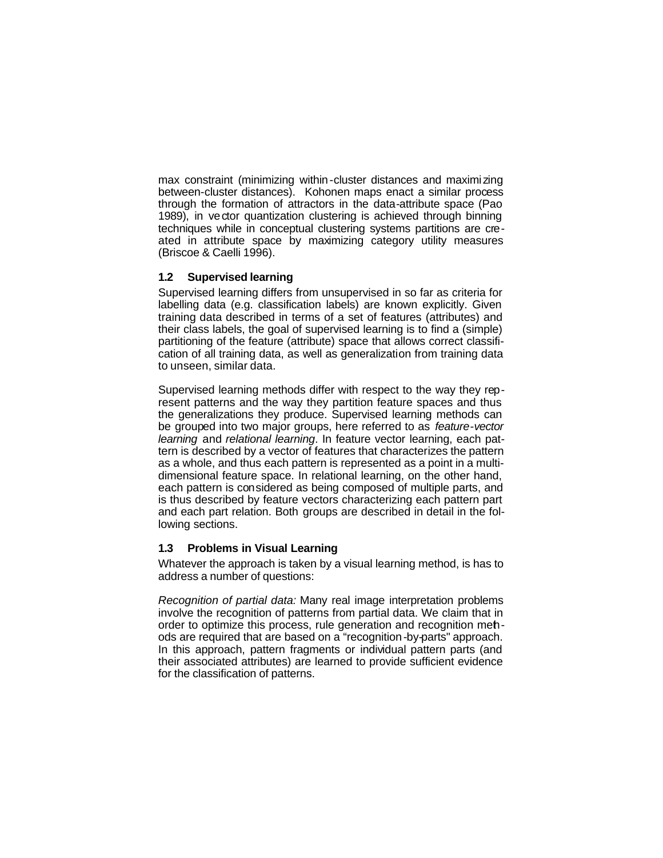max constraint (minimizing within-cluster distances and maximi zing between-cluster distances). Kohonen maps enact a similar process through the formation of attractors in the data-attribute space (Pao 1989), in vector quantization clustering is achieved through binning techniques while in conceptual clustering systems partitions are created in attribute space by maximizing category utility measures (Briscoe & Caelli 1996).

## **1.2 Supervised learning**

Supervised learning differs from unsupervised in so far as criteria for labelling data (e.g. classification labels) are known explicitly. Given training data described in terms of a set of features (attributes) and their class labels, the goal of supervised learning is to find a (simple) partitioning of the feature (attribute) space that allows correct classification of all training data, as well as generalization from training data to unseen, similar data.

Supervised learning methods differ with respect to the way they represent patterns and the way they partition feature spaces and thus the generalizations they produce. Supervised learning methods can be grouped into two major groups, here referred to as *feature-vector learning* and *relational learning*. In feature vector learning, each pattern is described by a vector of features that characterizes the pattern as a whole, and thus each pattern is represented as a point in a multidimensional feature space. In relational learning, on the other hand, each pattern is considered as being composed of multiple parts, and is thus described by feature vectors characterizing each pattern part and each part relation. Both groups are described in detail in the following sections.

# **1.3 Problems in Visual Learning**

Whatever the approach is taken by a visual learning method, is has to address a number of questions:

*Recognition of partial data:* Many real image interpretation problems involve the recognition of patterns from partial data. We claim that in order to optimize this process, rule generation and recognition methods are required that are based on a "recognition-by-parts" approach. In this approach, pattern fragments or individual pattern parts (and their associated attributes) are learned to provide sufficient evidence for the classification of patterns.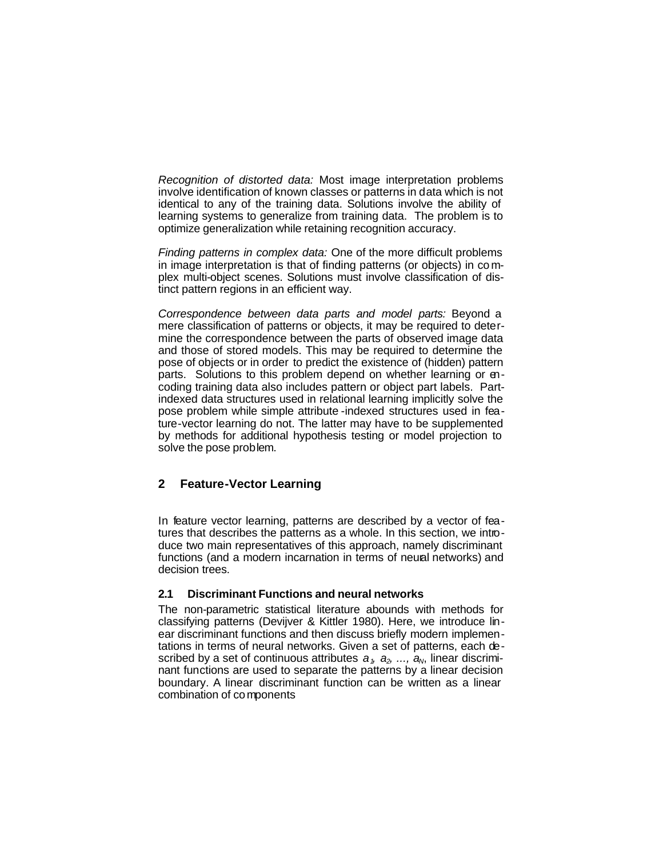*Recognition of distorted data:* Most image interpretation problems involve identification of known classes or patterns in data which is not identical to any of the training data. Solutions involve the ability of learning systems to generalize from training data. The problem is to optimize generalization while retaining recognition accuracy.

*Finding patterns in complex data:* One of the more difficult problems in image interpretation is that of finding patterns (or objects) in co mplex multi-object scenes. Solutions must involve classification of distinct pattern regions in an efficient way.

*Correspondence between data parts and model parts:* Beyond a mere classification of patterns or objects, it may be required to determine the correspondence between the parts of observed image data and those of stored models. This may be required to determine the pose of objects or in order to predict the existence of (hidden) pattern parts. Solutions to this problem depend on whether learning or encoding training data also includes pattern or object part labels. Partindexed data structures used in relational learning implicitly solve the pose problem while simple attribute -indexed structures used in feature-vector learning do not. The latter may have to be supplemented by methods for additional hypothesis testing or model projection to solve the pose problem.

# **2 Feature-Vector Learning**

In feature vector learning, patterns are described by a vector of features that describes the patterns as a whole. In this section, we introduce two main representatives of this approach, namely discriminant functions (and a modern incarnation in terms of neural networks) and decision trees.

### **2.1 Discriminant Functions and neural networks**

The non-parametric statistical literature abounds with methods for classifying patterns (Devijver & Kittler 1980). Here, we introduce linear discriminant functions and then discuss briefly modern implementations in terms of neural networks. Given a set of patterns, each described by a set of continuous attributes  $a_1, a_2, ..., a_N$ , linear discriminant functions are used to separate the patterns by a linear decision boundary. A linear discriminant function can be written as a linear combination of components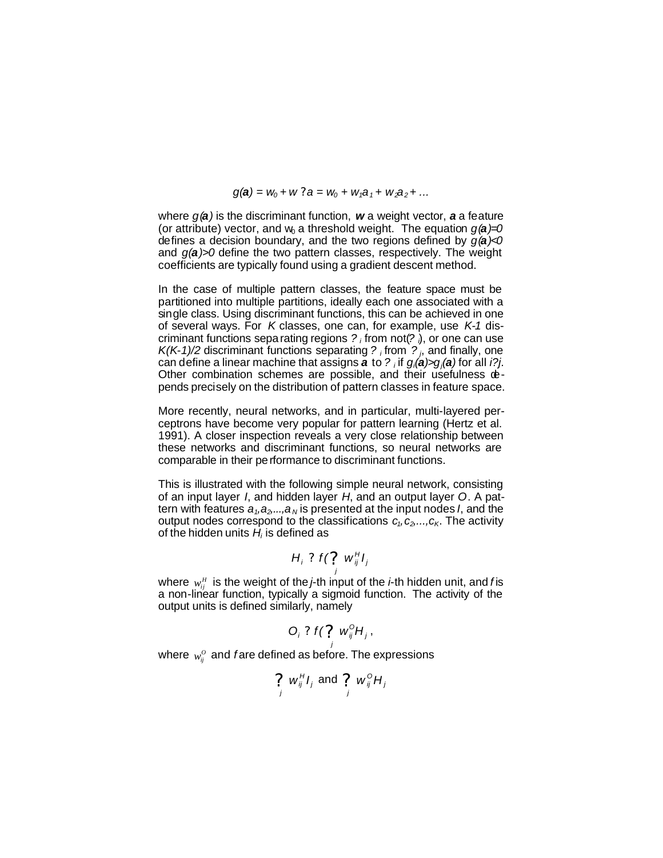$q(a) = w_0 + w$  ?  $a = w_0 + w_1 a_1 + w_2 a_2 + ...$ 

where *g(a)* is the discriminant function, *w* a weight vector, *a* a feature (or attribute) vector, and  $w_0$  a threshold weight. The equation  $g(\boldsymbol{a})=0$ defines a decision boundary, and the two regions defined by *g(a)<0* and *g(a)>0* define the two pattern classes, respectively. The weight coefficients are typically found using a gradient descent method.

In the case of multiple pattern classes, the feature space must be partitioned into multiple partitions, ideally each one associated with a single class. Using discriminant functions, this can be achieved in one of several ways. For *K* classes, one can, for example, use *K-1* discriminant functions separating regions *? <sup>i</sup>* from not(*? <sup>i</sup>*), or one can use  $K(K-1)/2$  discriminant functions separating ? *i* from  $?$  *j*, and finally, one can define a linear machine that assigns *a* to *? <sup>i</sup>* if *gi(a)>gj(a)* for all *i?j*. Other combination schemes are possible, and their usefulness  $\Phi$ pends precisely on the distribution of pattern classes in feature space.

More recently, neural networks, and in particular, multi-layered perceptrons have become very popular for pattern learning (Hertz et al. 1991). A closer inspection reveals a very close relationship between these networks and discriminant functions, so neural networks are comparable in their performance to discriminant functions.

This is illustrated with the following simple neural network, consisting of an input layer *I*, and hidden layer *H*, and an output layer *O*. A pattern with features  $a_1, a_2, ..., a_N$  is presented at the input nodes *I*, and the output nodes correspond to the classifications  $c_1, c_2, \ldots, c_K$ . The activity of the hidden units *H<sup>i</sup>* is defined as

$$
H_i ? f(? w_{ij}^H I_j
$$

where  $w_{ij}^H$  is the weight of the *j*-th input of the *i*-th hidden unit, and *f* is a non-linear function, typically a sigmoid function. The activity of the output units is defined similarly, namely

$$
O_i ? f(? w_{ij}^{\circ} H_j,
$$

where  $w_i^0$  and fare defined as before. The expressions

$$
\sum_j w_{ij}^H I_j
$$
 and 
$$
\sum_j w_{ij}^{\circ} H_j
$$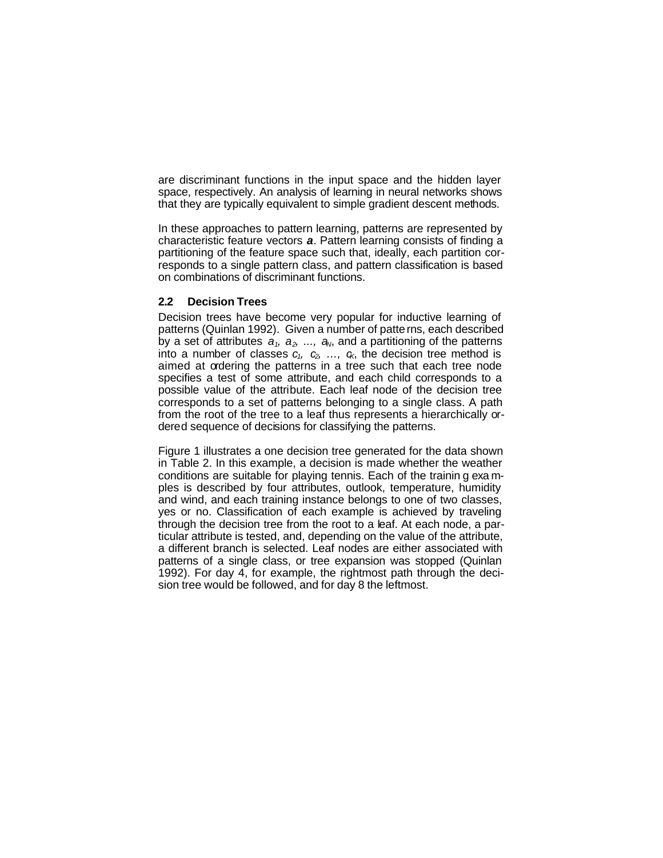are discriminant functions in the input space and the hidden layer space, respectively. An analysis of learning in neural networks shows that they are typically equivalent to simple gradient descent methods.

In these approaches to pattern learning, patterns are represented by characteristic feature vectors *a*. Pattern learning consists of finding a partitioning of the feature space such that, ideally, each partition corresponds to a single pattern class, and pattern classification is based on combinations of discriminant functions.

### **2.2 Decision Trees**

Decision trees have become very popular for inductive learning of patterns (Quinlan 1992). Given a number of patterns, each described by a set of attributes  $a_1$ ,  $a_2$ , ...,  $a_N$ , and a partitioning of the patterns into a number of classes  $c_1$ ,  $c_2$ , ...,  $c_6$ , the decision tree method is aimed at ordering the patterns in a tree such that each tree node specifies a test of some attribute, and each child corresponds to a possible value of the attribute. Each leaf node of the decision tree corresponds to a set of patterns belonging to a single class. A path from the root of the tree to a leaf thus represents a hierarchically ordered sequence of decisions for classifying the patterns.

Figure 1 illustrates a one decision tree generated for the data shown in Table 2. In this example, a decision is made whether the weather conditions are suitable for playing tennis. Each of the trainin g exa mples is described by four attributes, outlook, temperature, humidity and wind, and each training instance belongs to one of two classes, yes or no. Classification of each example is achieved by traveling through the decision tree from the root to a leaf. At each node, a particular attribute is tested, and, depending on the value of the attribute, a different branch is selected. Leaf nodes are either associated with patterns of a single class, or tree expansion was stopped (Quinlan 1992). For day 4, for example, the rightmost path through the decision tree would be followed, and for day 8 the leftmost.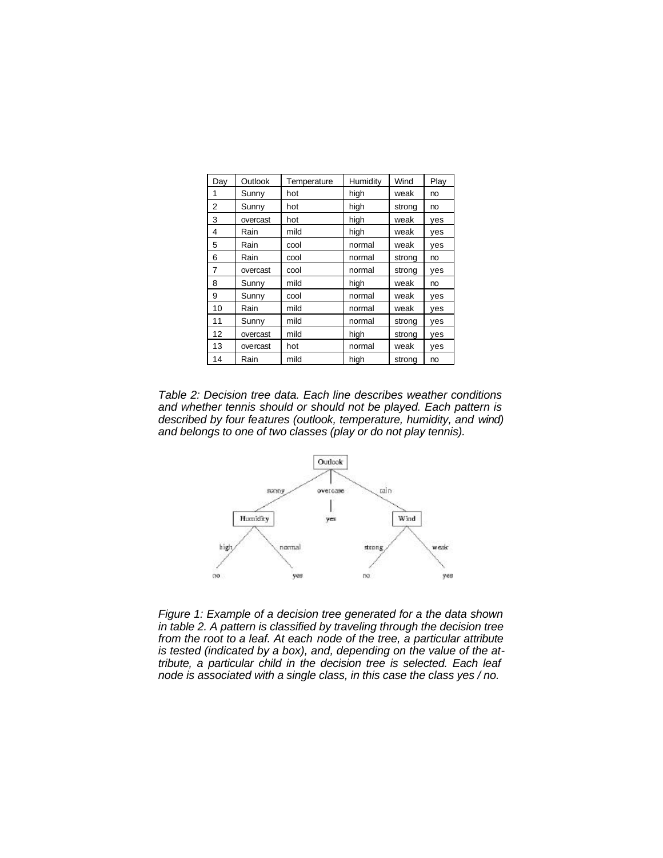| Day            | Outlook   | Temperature | Humidity | Wind   | Play |
|----------------|-----------|-------------|----------|--------|------|
| 1              | Sunny     | hot         | high     | weak   | no   |
| $\overline{2}$ | Sunny     | hot         | high     | strong | no   |
| 3              | overcast  | hot         | high     | weak   | yes  |
| 4              | Rain      | mild        | high     | weak   | yes  |
| 5              | Rain      | cool        | normal   | weak   | yes  |
| 6              | Rain      | cool        | normal   | strong | no   |
| 7              | overcast  | cool        | normal   | strong | yes  |
| 8              | Sunny     | mild        | high     | weak   | no   |
| 9              | Sunny     | cool        | normal   | weak   | yes  |
| 10             | Rain      | mild        | normal   | weak   | yes  |
| 11             | Sunny     | mild        | normal   | strong | yes  |
| 12             | overcast  | mild        | high     | strong | yes  |
| 13             | ove rcast | hot         | normal   | weak   | yes  |
| 14             | Rain      | mild        | high     | strong | no   |

*Table 2: Decision tree data. Each line describes weather conditions and whether tennis should or should not be played. Each pattern is described by four features (outlook, temperature, humidity, and wind) and belongs to one of two classes (play or do not play tennis).*



*Figure 1: Example of a decision tree generated for a the data shown in table 2. A pattern is classified by traveling through the decision tree from the root to a leaf. At each node of the tree, a particular attribute is tested (indicated by a box), and, depending on the value of the attribute, a particular child in the decision tree is selected. Each leaf node is associated with a single class, in this case the class yes / no.*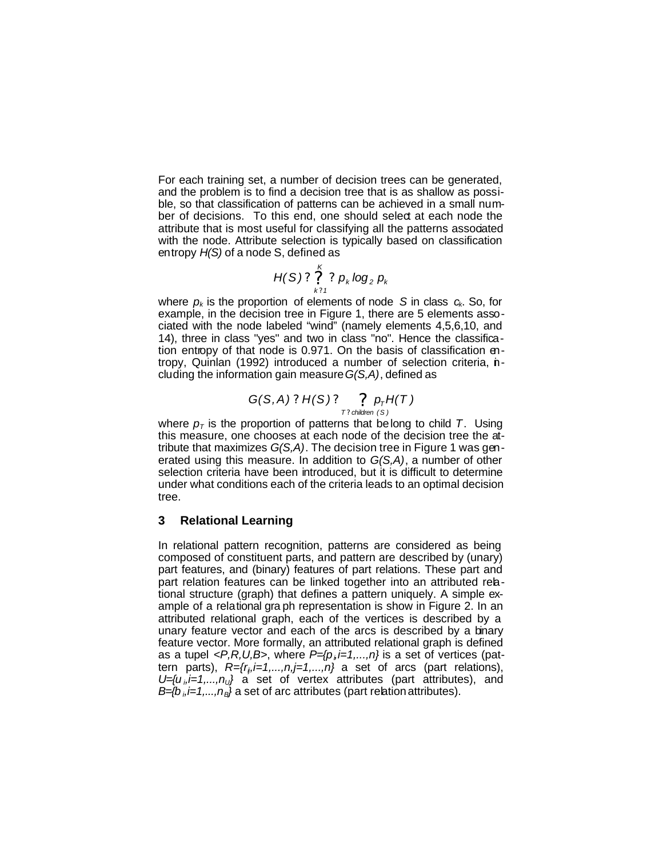For each training set, a number of decision trees can be generated, and the problem is to find a decision tree that is as shallow as possible, so that classification of patterns can be achieved in a small number of decisions. To this end, one should select at each node the attribute that is most useful for classifying all the patterns associated with the node. Attribute selection is typically based on classification entropy *H(S)* of a node S, defined as

$$
H(S)? \stackrel{K}{?}\underset{k?1}{?} p_k \log_2 p_k
$$

where  $p_k$  is the proportion of elements of node S in class  $c_k$ . So, for example, in the decision tree in Figure 1, there are 5 elements associated with the node labeled "wind" (namely elements 4,5,6,10, and 14), three in class "yes" and two in class "no". Hence the classification entropy of that node is 0.971. On the basis of classification entropy, Quinlan (1992) introduced a number of selection criteria, including the information gain measure *G(S,A)*, defined as

$$
G(S, A) ? H(S) ? \underset{T? \text{ children } (S)}{\underset{T? \text{ children } (S)}} p_{T} H(T)
$$

where  $p<sub>T</sub>$  is the proportion of patterns that belong to child T. Using this measure, one chooses at each node of the decision tree the attribute that maximizes *G(S,A)*. The decision tree in Figure 1 was generated using this measure. In addition to *G(S,A)*, a number of other selection criteria have been introduced, but it is difficult to determine under what conditions each of the criteria leads to an optimal decision tree.

## **3 Relational Learning**

In relational pattern recognition, patterns are considered as being composed of constituent parts, and pattern are described by (unary) part features, and (binary) features of part relations. These part and part relation features can be linked together into an attributed relational structure (graph) that defines a pattern uniquely. A simple example of a relational gra ph representation is show in Figure 2. In an attributed relational graph, each of the vertices is described by a unary feature vector and each of the arcs is described by a binary feature vector. More formally, an attributed relational graph is defined as a tupel *<P,R,U,B>*, where *P={p<sup>i</sup> ,i=1,...,n}* is a set of vertices (pattern parts),  $R=\{r_i, i=1,\ldots,n, j=1,\ldots,n\}$  a set of arcs (part relations), *U={u <sup>i</sup> ,i=1,...,nU}* a set of vertex attributes (part attributes), and *B={b <sup>i</sup> ,i=1,...,nB}* a set of arc attributes (part relation attributes).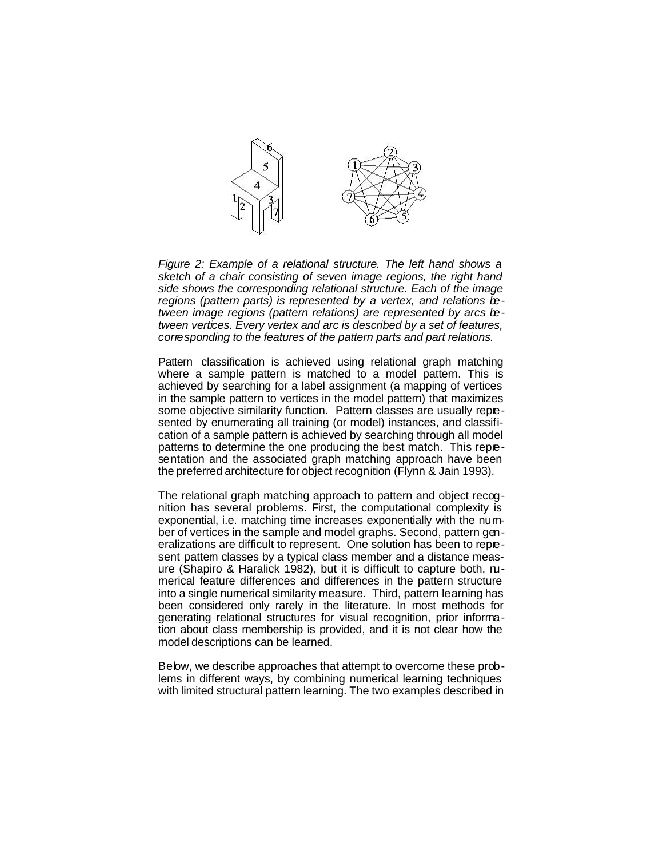

*Figure 2: Example of a relational structure. The left hand shows a sketch of a chair consisting of seven image regions, the right hand side shows the corresponding relational structure. Each of the image regions (pattern parts) is represented by a vertex, and relations between image regions (pattern relations) are represented by arcs between vertices. Every vertex and arc is described by a set of features, corresponding to the features of the pattern parts and part relations.*

Pattern classification is achieved using relational graph matching where a sample pattern is matched to a model pattern. This is achieved by searching for a label assignment (a mapping of vertices in the sample pattern to vertices in the model pattern) that maximizes some objective similarity function. Pattern classes are usually represented by enumerating all training (or model) instances, and classification of a sample pattern is achieved by searching through all model patterns to determine the one producing the best match. This representation and the associated graph matching approach have been the preferred architecture for object recognition (Flynn & Jain 1993).

The relational graph matching approach to pattern and object recognition has several problems. First, the computational complexity is exponential, i.e. matching time increases exponentially with the number of vertices in the sample and model graphs. Second, pattern generalizations are difficult to represent. One solution has been to represent pattem classes by a typical class member and a distance measure (Shapiro & Haralick 1982), but it is difficult to capture both, numerical feature differences and differences in the pattern structure into a single numerical similarity measure. Third, pattern learning has been considered only rarely in the literature. In most methods for generating relational structures for visual recognition, prior information about class membership is provided, and it is not clear how the model descriptions can be learned.

Below, we describe approaches that attempt to overcome these problems in different ways, by combining numerical learning techniques with limited structural pattern learning. The two examples described in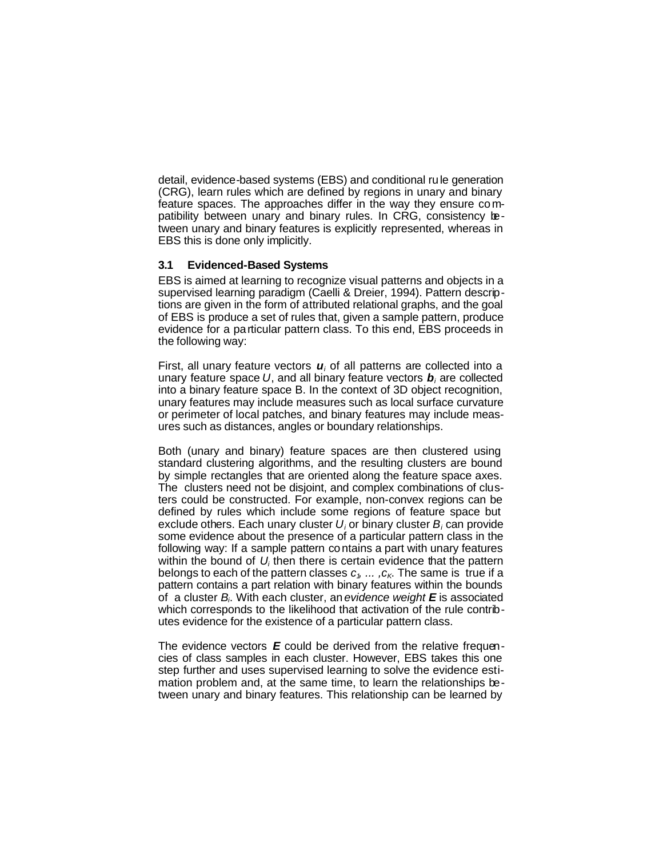detail, evidence-based systems (EBS) and conditional rule generation (CRG), learn rules which are defined by regions in unary and binary feature spaces. The approaches differ in the way they ensure compatibility between unary and binary rules. In CRG, consistency between unary and binary features is explicitly represented, whereas in EBS this is done only implicitly.

## **3.1 Evidenced-Based Systems**

EBS is aimed at learning to recognize visual patterns and objects in a supervised learning paradigm (Caelli & Dreier, 1994). Pattern descriptions are given in the form of attributed relational graphs, and the goal of EBS is produce a set of rules that, given a sample pattern, produce evidence for a particular pattern class. To this end, EBS proceeds in the following way:

First, all unary feature vectors  $\boldsymbol{u}$  of all patterns are collected into a unary feature space *U*, and all binary feature vectors *b<sup>i</sup>* are collected into a binary feature space B. In the context of 3D object recognition, unary features may include measures such as local surface curvature or perimeter of local patches, and binary features may include measures such as distances, angles or boundary relationships.

Both (unary and binary) feature spaces are then clustered using standard clustering algorithms, and the resulting clusters are bound by simple rectangles that are oriented along the feature space axes. The clusters need not be disjoint, and complex combinations of clusters could be constructed. For example, non-convex regions can be defined by rules which include some regions of feature space but exclude others. Each unary cluster  $U_i$  or binary cluster  $B_i$  can provide some evidence about the presence of a particular pattern class in the following way: If a sample pattern contains a part with unary features within the bound of  $U_i$  then there is certain evidence that the pattern belongs to each of the pattern classes  $c_1$ ,  $c_K$ . The same is true if a pattern contains a part relation with binary features within the bounds of a cluster *B<sup>i</sup>* . With each cluster, an *evidence weight E* is associated which corresponds to the likelihood that activation of the rule contributes evidence for the existence of a particular pattern class.

The evidence vectors *E* could be derived from the relative frequencies of class samples in each cluster. However, EBS takes this one step further and uses supervised learning to solve the evidence estimation problem and, at the same time, to learn the relationships between unary and binary features. This relationship can be learned by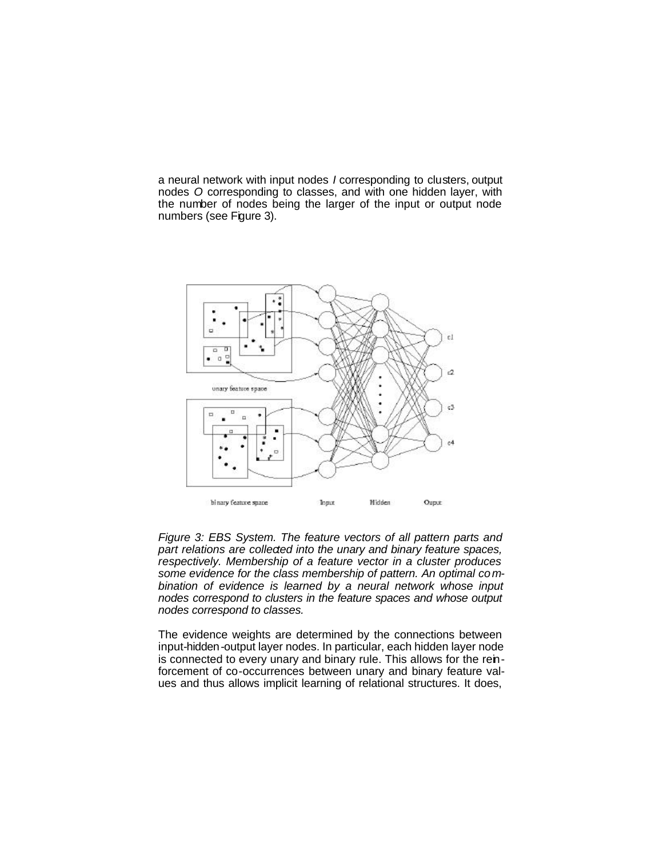a neural network with input nodes *I* corresponding to clusters, output nodes *O* corresponding to classes, and with one hidden layer, with the number of nodes being the larger of the input or output node numbers (see Figure 3).



*Figure 3: EBS System. The feature vectors of all pattern parts and part relations are collected into the unary and binary feature spaces, respectively. Membership of a feature vector in a cluster produces some evidence for the class membership of pattern. An optimal combination of evidence is learned by a neural network whose input nodes correspond to clusters in the feature spaces and whose output nodes correspond to classes.* 

The evidence weights are determined by the connections between input-hidden-output layer nodes. In particular, each hidden layer node is connected to every unary and binary rule. This allows for the reinforcement of co-occurrences between unary and binary feature values and thus allows implicit learning of relational structures. It does,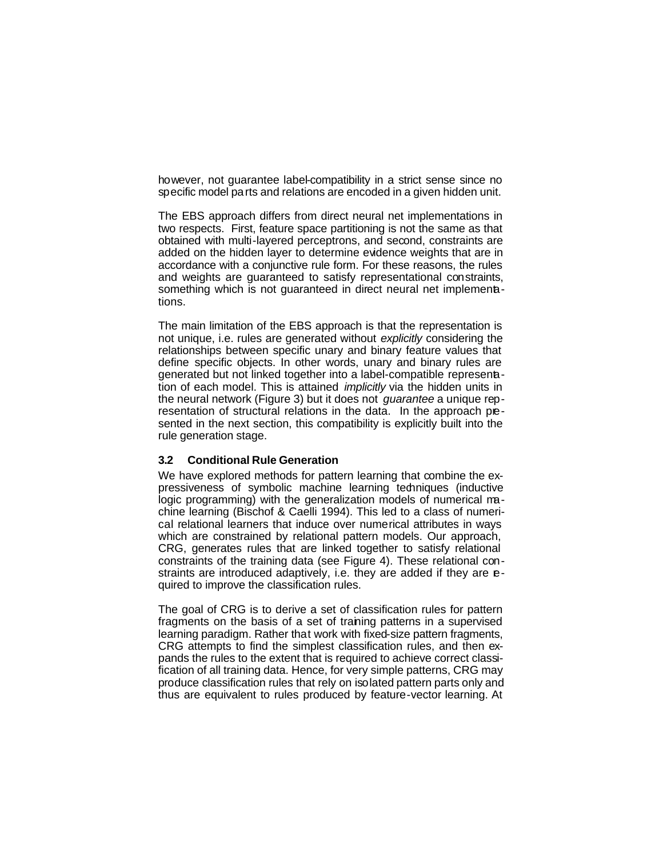however, not guarantee label-compatibility in a strict sense since no specific model parts and relations are encoded in a given hidden unit.

The EBS approach differs from direct neural net implementations in two respects. First, feature space partitioning is not the same as that obtained with multi-layered perceptrons, and second, constraints are added on the hidden layer to determine evidence weights that are in accordance with a conjunctive rule form. For these reasons, the rules and weights are guaranteed to satisfy representational constraints, something which is not guaranteed in direct neural net implementations.

The main limitation of the EBS approach is that the representation is not unique, i.e. rules are generated without *explicitly* considering the relationships between specific unary and binary feature values that define specific objects. In other words, unary and binary rules are generated but not linked together into a label-compatible represenation of each model. This is attained *implicitly* via the hidden units in the neural network (Figure 3) but it does not *guarantee* a unique representation of structural relations in the data. In the approach presented in the next section, this compatibility is explicitly built into the rule generation stage.

### **3.2 Conditional Rule Generation**

We have explored methods for pattern learning that combine the expressiveness of symbolic machine learning techniques (inductive logic programming) with the generalization models of numerical machine learning (Bischof & Caelli 1994). This led to a class of numerical relational learners that induce over numerical attributes in ways which are constrained by relational pattern models. Our approach, CRG, generates rules that are linked together to satisfy relational constraints of the training data (see Figure 4). These relational constraints are introduced adaptively, i.e. they are added if they are **e**quired to improve the classification rules.

The goal of CRG is to derive a set of classification rules for pattern fragments on the basis of a set of training patterns in a supervised learning paradigm. Rather that work with fixed-size pattern fragments, CRG attempts to find the simplest classification rules, and then expands the rules to the extent that is required to achieve correct classification of all training data. Hence, for very simple patterns, CRG may produce classification rules that rely on isolated pattern parts only and thus are equivalent to rules produced by feature-vector learning. At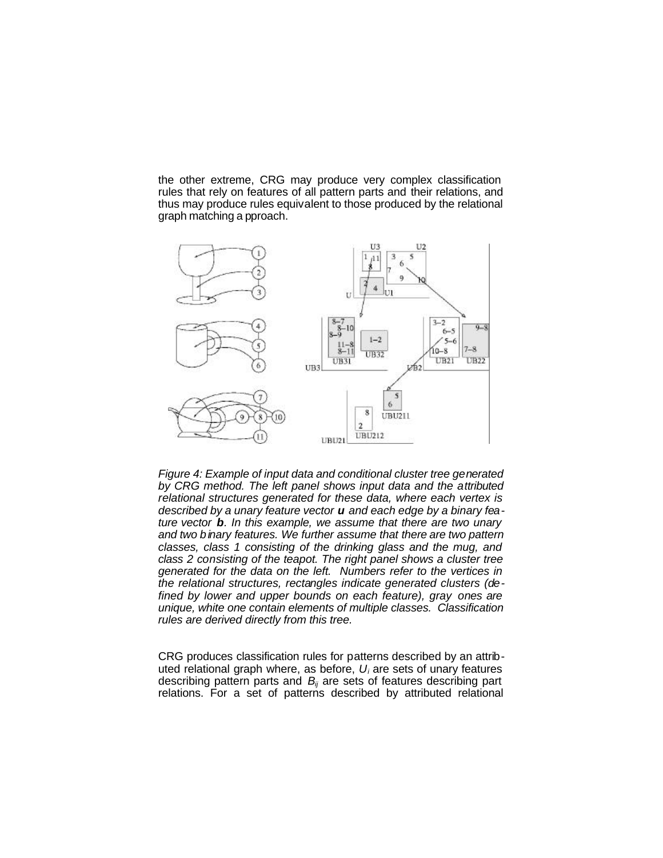the other extreme, CRG may produce very complex classification rules that rely on features of all pattern parts and their relations, and thus may produce rules equivalent to those produced by the relational graph matching a pproach.



*Figure 4: Example of input data and conditional cluster tree generated by CRG method. The left panel shows input data and the attributed relational structures generated for these data, where each vertex is described by a unary feature vector u and each edge by a binary feature vector b. In this example, we assume that there are two unary and two binary features. We further assume that there are two pattern classes, class 1 consisting of the drinking glass and the mug, and class 2 consisting of the teapot. The right panel shows a cluster tree generated for the data on the left. Numbers refer to the vertices in the relational structures, rectangles indicate generated clusters (defined by lower and upper bounds on each feature), gray ones are unique, white one contain elements of multiple classes. Classification rules are derived directly from this tree.*

CRG produces classification rules for patterns described by an attributed relational graph where, as before, *U<sup>i</sup>* are sets of unary features describing pattern parts and *Bij* are sets of features describing part relations. For a set of patterns described by attributed relational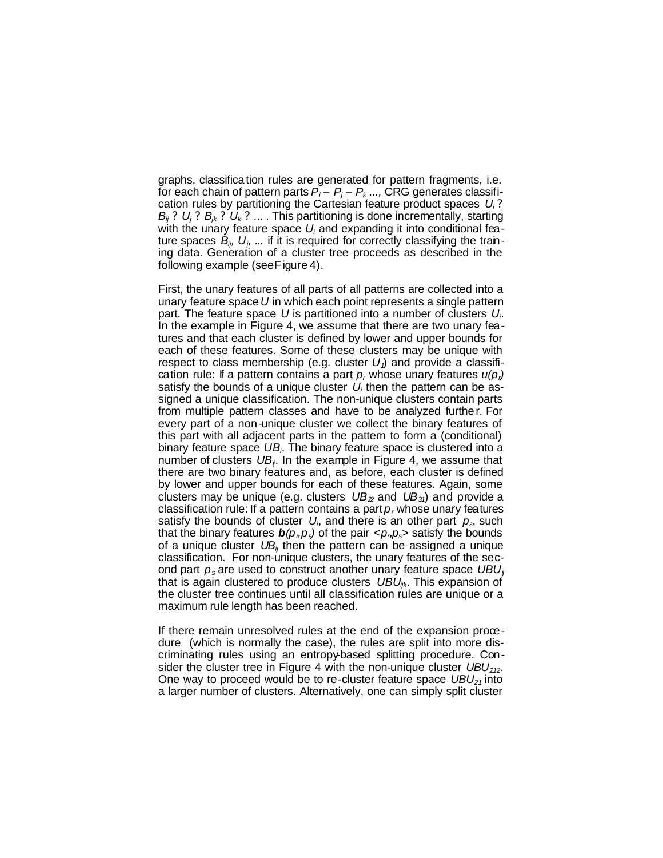graphs, classification rules are generated for pattern fragments, i.e. for each chain of pattern parts  $P_i - P_j - P_k$  ..., CRG generates classification rules by partitioning the Cartesian feature product spaces *U<sup>i</sup> ? B<sub>ij</sub>* ? *U<sub>i</sub>* ? *B<sub>ik</sub>* ? *U<sub>k</sub>* ? ... . This partitioning is done incrementally, starting with the unary feature space U<sub>i</sub> and expanding it into conditional feature spaces *Bij, U<sup>j</sup> , ...* if it is required for correctly classifying the training data. Generation of a cluster tree proceeds as described in the following example (see Figure 4).

First, the unary features of all parts of all patterns are collected into a unary feature space *U* in which each point represents a single pattern part. The feature space *U* is partitioned into a number of clusters *U<sup>i</sup>* . In the example in Figure 4, we assume that there are two unary features and that each cluster is defined by lower and upper bounds for each of these features. Some of these clusters may be unique with respect to class membership (e.g. cluster *U1*) and provide a classification rule: If a pattern contains a part *p<sup>r</sup>* whose unary features *u(pr)* satisfy the bounds of a unique cluster  $U_i$  then the pattern can be assigned a unique classification. The non-unique clusters contain parts from multiple pattern classes and have to be analyzed further. For every part of a non-unique cluster we collect the binary features of this part with all adjacent parts in the pattern to form a (conditional) binary feature space *UB<sup>i</sup>* . The binary feature space is clustered into a number of clusters UB<sub>i</sub>. In the example in Figure 4, we assume that there are two binary features and, as before, each cluster is defined by lower and upper bounds for each of these features. Again, some clusters may be unique (e.g. clusters *UB22* and *UB31*) and provide a classification rule: If a pattern contains a part *p<sup>r</sup>* whose unary features satisfy the bounds of cluster *U<sup>i</sup>* , and there is an other part *ps*, such that the binary features  $\bm{b}(\rho_{\scriptscriptstyle D}\rho_{\scriptscriptstyle S})$  of the pair  $\langle \rho_{\scriptscriptstyle D}\rho_{\scriptscriptstyle S}\rangle$  satisfy the bounds of a unique cluster *UBij* then the pattern can be assigned a unique classification. For non-unique clusters, the unary features of the second part *ps* are used to construct another unary feature space *UBUij* that is again clustered to produce clusters *UBUijk*. This expansion of the cluster tree continues until all classification rules are unique or a maximum rule length has been reached.

If there remain unresolved rules at the end of the expansion procedure (which is normally the case), the rules are split into more discriminating rules using an entropy-based splitting procedure. Consider the cluster tree in Figure 4 with the non-unique cluster *UBU212*. One way to proceed would be to re-cluster feature space *UBU21* into a larger number of clusters. Alternatively, one can simply split cluster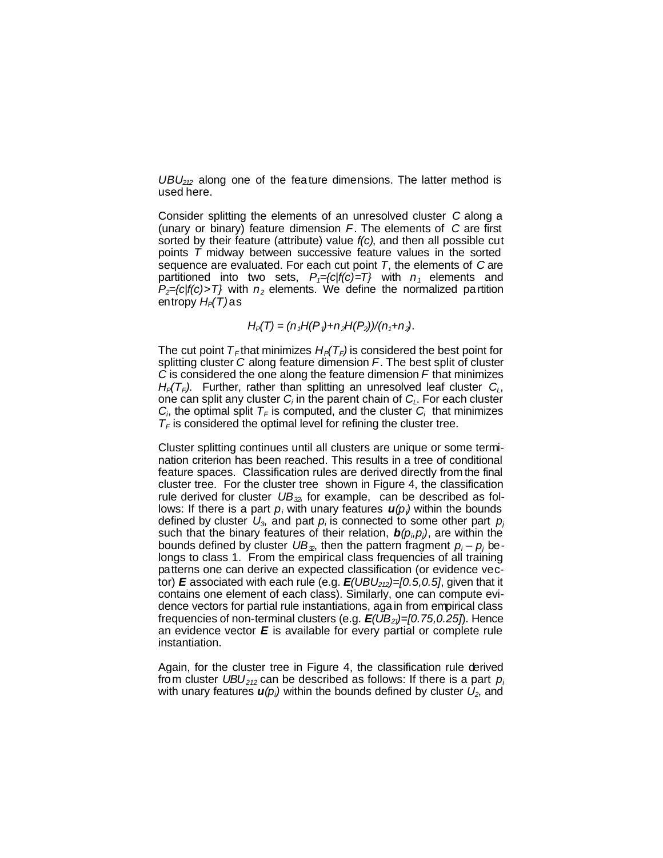*UBU212* along one of the feature dimensions. The latter method is used here.

Consider splitting the elements of an unresolved cluster *C* along a (unary or binary) feature dimension *F*. The elements of *C* are first sorted by their feature (attribute) value *f(c)*, and then all possible cut points *T* midway between successive feature values in the sorted sequence are evaluated. For each cut point *T*, the elements of *C* are partitioned into two sets,  $P_1 = \{c | f(c) = T\}$  with  $n_1$  elements and  $P_2$ ={c|f(c)>T} with  $n_2$  elements. We define the normalized partition entropy *HP(T)* as

## $H_P(T) = (n_1H(P_1) + n_2H(P_2))/(n_1 + n_2)$ .

The cut point  $T_F$  that minimizes  $H_P(T_F)$  is considered the best point for splitting cluster *C* along feature dimension *F*. The best split of cluster *C* is considered the one along the feature dimension *F* that minimizes  $H_P(T_F)$ . Further, rather than splitting an unresolved leaf cluster  $C_L$ , one can split any cluster *C<sup>i</sup>* in the parent chain of *CL*. For each cluster  $C_i$ , the optimal split  $T_F$  is computed, and the cluster  $C_i$  that minimizes  $T_F$  is considered the optimal level for refining the cluster tree.

Cluster splitting continues until all clusters are unique or some termination criterion has been reached. This results in a tree of conditional feature spaces. Classification rules are derived directly from the final cluster tree. For the cluster tree shown in Figure 4, the classification rule derived for cluster *UB32*, for example, can be described as follows: If there is a part  $p_i$  with unary features  $u(p_i)$  within the bounds defined by cluster *U3*, and part *p<sup>i</sup>* is connected to some other part *p<sup>j</sup>* such that the binary features of their relation,  $\bm{b}(\rho_i,\rho_j)$ , are within the bounds defined by cluster *UB32*, then the pattern fragment *p<sup>i</sup>* – *p<sup>j</sup>* belongs to class 1. From the empirical class frequencies of all training patterns one can derive an expected classification (or evidence vector) *E* associated with each rule (e.g. *E(UBU212)=[0.5,0.5]*, given that it contains one element of each class). Similarly, one can compute evidence vectors for partial rule instantiations, aga in from empirical class frequencies of non-terminal clusters (e.g. *E(UB21)=[0.75,0.25]*). Hence an evidence vector *E* is available for every partial or complete rule instantiation.

Again, for the cluster tree in Figure 4, the classification rule derived from cluster *UBU212* can be described as follows: If there is a part *p<sup>i</sup>* with unary features  $u(p_i)$  within the bounds defined by cluster  $U_2$ , and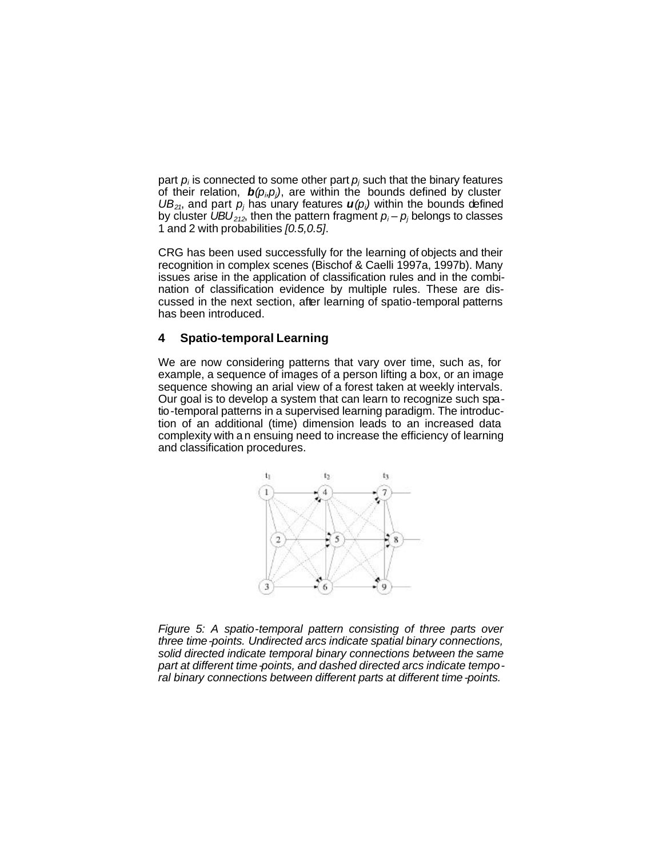part  $p_i$  is connected to some other part  $p_j$  such that the binary features of their relation,  $b(\rho_i, \rho_j)$ , are within the bounds defined by cluster  $UB_{21}$ , and part  $p_j$  has unary features  $u(p_i)$  within the bounds defined by cluster  $UBU_{212}$ , then the pattern fragment  $p_i - p_j$  belongs to classes 1 and 2 with probabilities *[0.5,0.5]*.

CRG has been used successfully for the learning of objects and their recognition in complex scenes (Bischof & Caelli 1997a, 1997b). Many issues arise in the application of classification rules and in the combination of classification evidence by multiple rules. These are discussed in the next section, after learning of spatio-temporal patterns has been introduced.

### **4 Spatio-temporal Learning**

We are now considering patterns that vary over time, such as, for example, a sequence of images of a person lifting a box, or an image sequence showing an arial view of a forest taken at weekly intervals. Our goal is to develop a system that can learn to recognize such spatio-temporal patterns in a supervised learning paradigm. The introduction of an additional (time) dimension leads to an increased data complexity with an ensuing need to increase the efficiency of learning and classification procedures.



*Figure 5: A spatio-temporal pattern consisting of three parts over three time-points. Undirected arcs indicate spatial binary connections, solid directed indicate temporal binary connections between the same part at different time-points, and dashed directed arcs indicate temporal binary connections between different parts at different time-points.*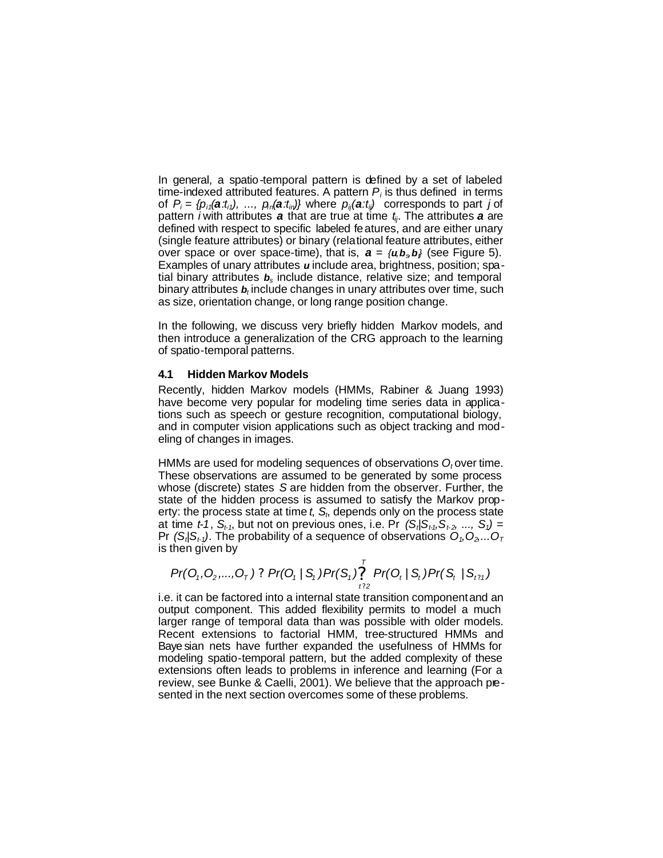In general, a spatio-temporal pattern is defined by a set of labeled time-indexed attributed features. A pattern  $P_i$  is thus defined in terms of  $P_i = \{p_{i1}(\mathbf{a} \cdot t_{i1}), \ldots, p_{in}(\mathbf{a} \cdot t_{in})\}$  where  $p_{ii}(\mathbf{a} \cdot t_{ii})$  corresponds to part j of pattern *i* with attributes *a* that are true at time *tij*. The attributes *a* are defined with respect to specific labeled features, and are either unary (single feature attributes) or binary (relational feature attributes, either over space or over space-time), that is,  $a = \{u, b_s, b\}$  (see Figure 5). Examples of unary attributes *u* include area, brightness, position; spatial binary attributes *bs* include distance, relative size; and temporal binary attributes  $\boldsymbol{b}_t$  include changes in unary attributes over time, such as size, orientation change, or long range position change.

In the following, we discuss very briefly hidden Markov models, and then introduce a generalization of the CRG approach to the learning of spatio-temporal patterns.

#### **4.1 Hidden Markov Models**

Recently, hidden Markov models (HMMs, Rabiner & Juang 1993) have become very popular for modeling time series data in applications such as speech or gesture recognition, computational biology, and in computer vision applications such as object tracking and modeling of changes in images.

HMMs are used for modeling sequences of observations O<sub>t</sub>over time. These observations are assumed to be generated by some process whose (discrete) states *S* are hidden from the observer. Further, the state of the hidden process is assumed to satisfy the Markov property: the process state at time *t*, *S<sup>t</sup>* , depends only on the process state at time *t-1*, *St-1*, but not on previous ones, i.e. Pr *(S<sup>t</sup> |St-1,St- <sup>2</sup>, ..., S1) =*  Pr *(S<sup>t</sup> |St-1)*. The probability of a sequence of observations *O1,O2,...O<sup>T</sup>* is then given by

$$
Pr(O_1, O_2, ..., O_T) ? Pr(O_1 | S_1) Pr(S_1) \bigg[ \bigcap_{t=2}^{T} Pr(O_t | S_t) Pr(S_t | S_{t=1})
$$

i.e. it can be factored into a internal state transition component and an output component. This added flexibility permits to model a much larger range of temporal data than was possible with older models. Recent extensions to factorial HMM, tree-structured HMMs and Baye sian nets have further expanded the usefulness of HMMs for modeling spatio-temporal pattern, but the added complexity of these extensions often leads to problems in inference and learning (For a review, see Bunke & Caelli, 2001). We believe that the approach presented in the next section overcomes some of these problems.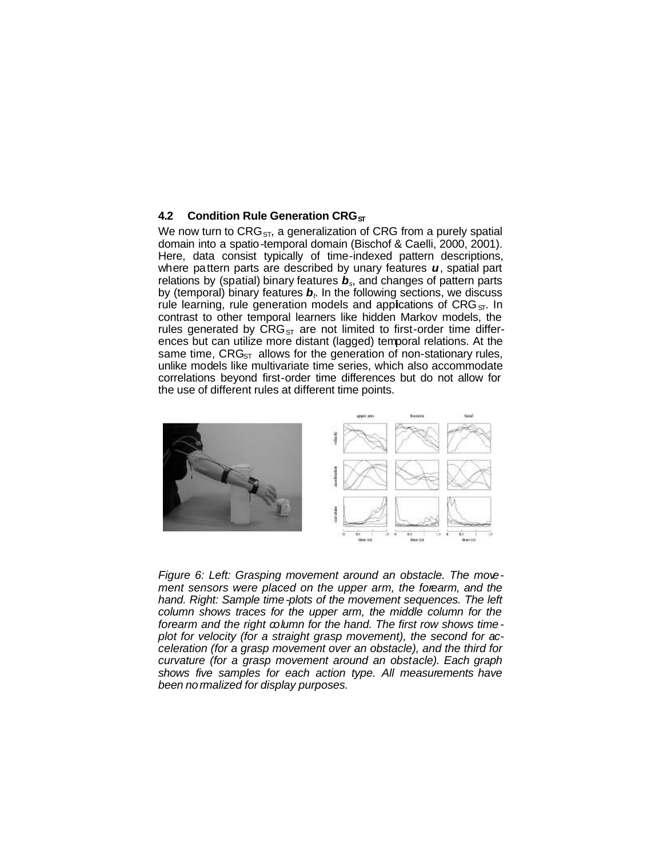#### **4.2 Condition Rule Generation CRG**<sub>ST</sub>

We now turn to  $CRG<sub>ST</sub>$ , a generalization of CRG from a purely spatial domain into a spatio-temporal domain (Bischof & Caelli, 2000, 2001). Here, data consist typically of time-indexed pattern descriptions, where pattern parts are described by unary features *u*, spatial part relations by (spatial) binary features *bs*, and changes of pattern parts by (temporal) binary features *b<sup>t</sup>* . In the following sections, we discuss rule learning, rule generation models and appications of  $CRG_{ST}$ . In contrast to other temporal learners like hidden Markov models, the rules generated by  $CRG<sub>ST</sub>$  are not limited to first-order time differences but can utilize more distant (lagged) temporal relations. At the same time,  $CRG<sub>ST</sub>$  allows for the generation of non-stationary rules, unlike models like multivariate time series, which also accommodate correlations beyond first-order time differences but do not allow for the use of different rules at different time points.



*Figure 6: Left: Grasping movement around an obstacle. The movement sensors were placed on the upper arm, the forearm, and the hand. Right: Sample time-plots of the movement sequences. The left column shows traces for the upper arm, the middle column for the forearm and the right column for the hand. The first row shows timeplot for velocity (for a straight grasp movement), the second for acceleration (for a grasp movement over an obstacle), and the third for curvature (for a grasp movement around an obstacle). Each graph shows five samples for each action type. All measurements have been normalized for display purposes.*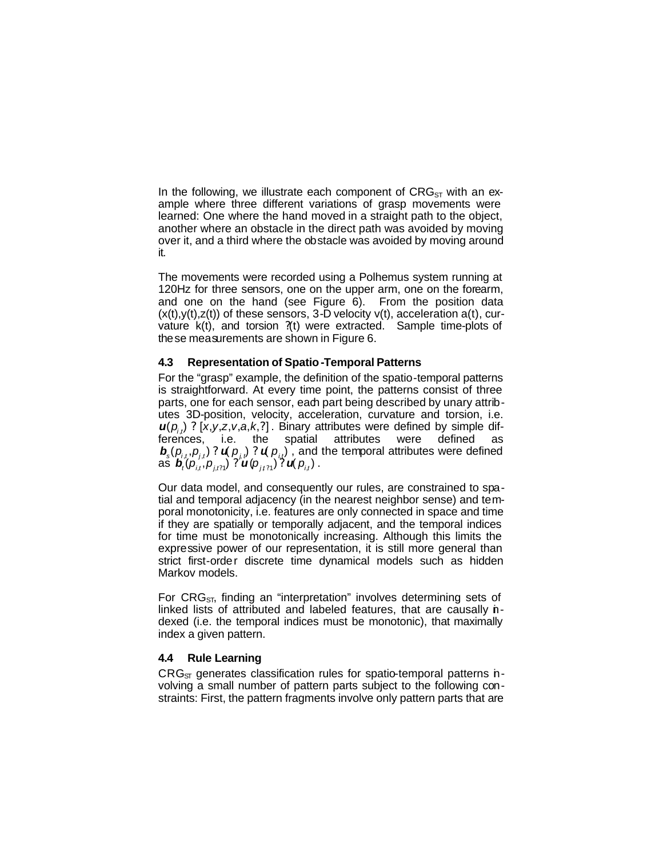In the following, we illustrate each component of  $CRG<sub>ST</sub>$  with an example where three different variations of grasp movements were learned: One where the hand moved in a straight path to the object, another where an obstacle in the direct path was avoided by moving over it, and a third where the obstacle was avoided by moving around it.

The movements were recorded using a Polhemus system running at 120Hz for three sensors, one on the upper arm, one on the forearm, and one on the hand (see Figure 6). From the position data  $(x(t),y(t),z(t))$  of these sensors, 3-D velocity  $v(t)$ , acceleration  $a(t)$ , curvature k(t), and torsion ?(t) were extracted. Sample time-plots of these measurements are shown in Figure 6.

### **4.3 Representation of Spatio-Temporal Patterns**

For the "grasp" example, the definition of the spatio-temporal patterns is straightforward. At every time point, the patterns consist of three parts, one for each sensor, each part being described by unary attributes 3D-position, velocity, acceleration, curvature and torsion, i.e.  $\boldsymbol{\mu}(\boldsymbol{p}_{i,j})$  ? [x,y,z,v,a,k,?]. Binary attributes were defined by simple differences, i.e. the spatial attributes were defined as  $\bm{b}_s(p_{i,t}, p_{j,t})$ ?  $\bm{u}(p_{j,t})$ ?  $\bm{u}(p_{it})$ , and the temporal attributes were defined as  $\bm{b}_{t}^{T}(\bm{\rho}_{i,t}^{T,\cdots},\bm{\rho}_{j,t21}^{T})$  ?  $\bm{u}(\bm{\rho}_{j,t21}^{T})$  ?  $\bm{u}(\bm{\rho}_{i,t})$  .

Our data model, and consequently our rules, are constrained to spatial and temporal adjacency (in the nearest neighbor sense) and temporal monotonicity, i.e. features are only connected in space and time if they are spatially or temporally adjacent, and the temporal indices for time must be monotonically increasing. Although this limits the expressive power of our representation, it is still more general than strict first-order discrete time dynamical models such as hidden Markov models.

For  $CRG<sub>ST</sub>$ , finding an "interpretation" involves determining sets of linked lists of attributed and labeled features, that are causally indexed (i.e. the temporal indices must be monotonic), that maximally index a given pattern.

#### **4.4 Rule Learning**

 $CRG<sub>ST</sub>$  generates classification rules for spatio-temporal patterns nvolving a small number of pattern parts subject to the following constraints: First, the pattern fragments involve only pattern parts that are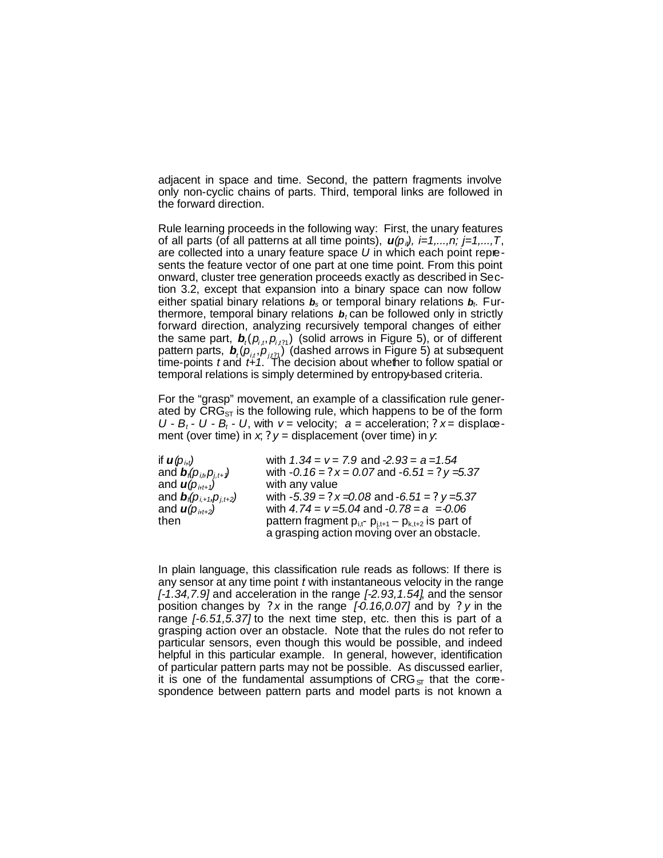adjacent in space and time. Second, the pattern fragments involve only non-cyclic chains of parts. Third, temporal links are followed in the forward direction.

Rule learning proceeds in the following way: First, the unary features of all parts (of all patterns at all time points),  $u(p_i)$ ,  $i=1,\ldots,n;$   $j=1,\ldots,T$ , are collected into a unary feature space *U* in which each point represents the feature vector of one part at one time point. From this point onward, cluster tree generation proceeds exactly as described in Section 3.2, except that expansion into a binary space can now follow either spatial binary relations *bs* or temporal binary relations *b<sup>t</sup>* . Furthermore, temporal binary relations *b<sup>t</sup>* can be followed only in strictly forward direction, analyzing recursively temporal changes of either the same part,  $\boldsymbol{b}_i(p_{i,t}, p_{i,t;1})$  (solid arrows in Figure 5), or of different pattern parts,  $\boldsymbol{b}_t(\boldsymbol{p}_{i,t},\boldsymbol{p}_{j,t21})$  (dashed arrows in Figure 5) at subsequent time-points *t* and *t+1*. The decision about whether to follow spatial or temporal relations is simply determined by entropy-based criteria.

For the "grasp" movement, an example of a classification rule generated by  $CRG<sub>ST</sub>$  is the following rule, which happens to be of the form  $U - B_t - U - B_t - U$ , with  $v =$  velocity;  $a =$  acceleration;  $2x =$  displacement (over time) in  $x$ ,  $2y$  = displacement (over time) in  $y$ .

| if $\boldsymbol{u}(\boldsymbol{p}_{i,t})$                           | with $1.34 = v = 7.9$ and $-2.93 = a = 1.54$                      |
|---------------------------------------------------------------------|-------------------------------------------------------------------|
| and $\boldsymbol{b}_t(\boldsymbol{p}_{i,t},\boldsymbol{p}_{i,t+1})$ | with $-0.16 = ?x = 0.07$ and $-6.51 = ?y = 5.37$                  |
| and $\boldsymbol{u}(\boldsymbol{p}_{i,t+1})$                        | with any value                                                    |
| and $\bm{b}_t(p_{i,1}, p_{i,t+2})$                                  | with $-5.39 = ?x = 0.08$ and $-6.51 = ?y = 5.37$                  |
| and $\mathbf{u}(p_{i,t+2})$                                         | with $4.74 = v = 5.04$ and $-0.78 = a = 0.06$                     |
| then                                                                | pattern fragment $p_{i,t}$ - $p_{j,t+1}$ – $p_{k,t+2}$ is part of |
|                                                                     | a grasping action moving over an obstacle.                        |

In plain language, this classification rule reads as follows: If there is any sensor at any time point *t* with instantaneous velocity in the range *[-1.34,7.9]* and acceleration in the range *[-2.93,1.54]*, and the sensor position changes by *? x* in the range *[-0.16,0.07]* and by *? y* in the range *[-6.51,5.37]* to the next time step, etc. then this is part of a grasping action over an obstacle. Note that the rules do not refer to particular sensors, even though this would be possible, and indeed helpful in this particular example. In general, however, identification of particular pattern parts may not be possible. As discussed earlier, it is one of the fundamental assumptions of  $CRG<sub>ST</sub>$  that the correspondence between pattern parts and model parts is not known a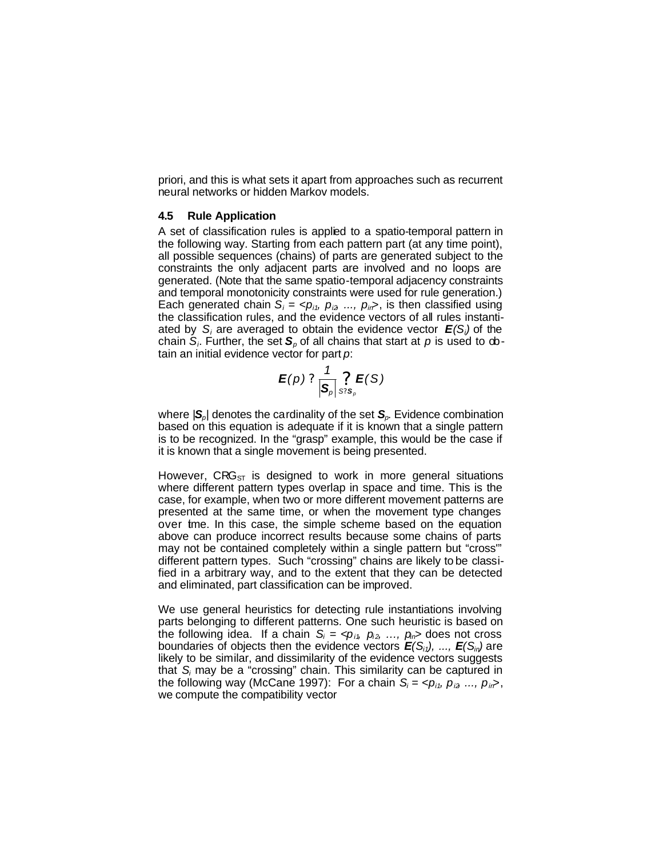priori, and this is what sets it apart from approaches such as recurrent neural networks or hidden Markov models.

#### **4.5 Rule Application**

A set of classification rules is applied to a spatio-temporal pattern in the following way. Starting from each pattern part (at any time point), all possible sequences (chains) of parts are generated subject to the constraints the only adjacent parts are involved and no loops are generated. (Note that the same spatio-temporal adjacency constraints and temporal monotonicity constraints were used for rule generation.) Each generated chain  $S_i = \langle p_{i1}, p_{i2}, ..., p_{in} \rangle$ , is then classified using the classification rules, and the evidence vectors of all rules instantiated by *S<sup>i</sup>* are averaged to obtain the evidence vector *E(Si)* of the chain *S<sup>i</sup>* . Further, the set *Sp* of all chains that start at *p* is used to obtain an initial evidence vector for part *p*:

$$
\boldsymbol{E}(p) \,\,?\, \frac{1}{|\mathbf{S}_p|} \underset{S: \mathbf{S}_p}{\overset{\Omega}{\cdot}} \boldsymbol{E}(S)
$$

where |*Sp*| denotes the cardinality of the set *Sp*. Evidence combination based on this equation is adequate if it is known that a single pattern is to be recognized. In the "grasp" example, this would be the case if it is known that a single movement is being presented.

However,  $CRG<sub>ST</sub>$  is designed to work in more general situations where different pattern types overlap in space and time. This is the case, for example, when two or more different movement patterns are presented at the same time, or when the movement type changes over tme. In this case, the simple scheme based on the equation above can produce incorrect results because some chains of parts may not be contained completely within a single pattern but "cross'" different pattern types. Such "crossing" chains are likely to be classified in a arbitrary way, and to the extent that they can be detected and eliminated, part classification can be improved.

We use general heuristics for detecting rule instantiations involving parts belonging to different patterns. One such heuristic is based on the following idea. If a chain  $S_i = \langle p_{i}, p_{i2}, ..., p_{in} \rangle$  does not cross boundaries of objects then the evidence vectors  $E(S_{i1})$ , ...,  $E(S_{i0})$  are likely to be similar, and dissimilarity of the evidence vectors suggests that *S<sup>i</sup>* may be a "crossing" chain. This similarity can be captured in the following way (McCane 1997): For a chain  $S_i = \langle p_{i1}, p_{i2}, ..., p_{in} \rangle$ , we compute the compatibility vector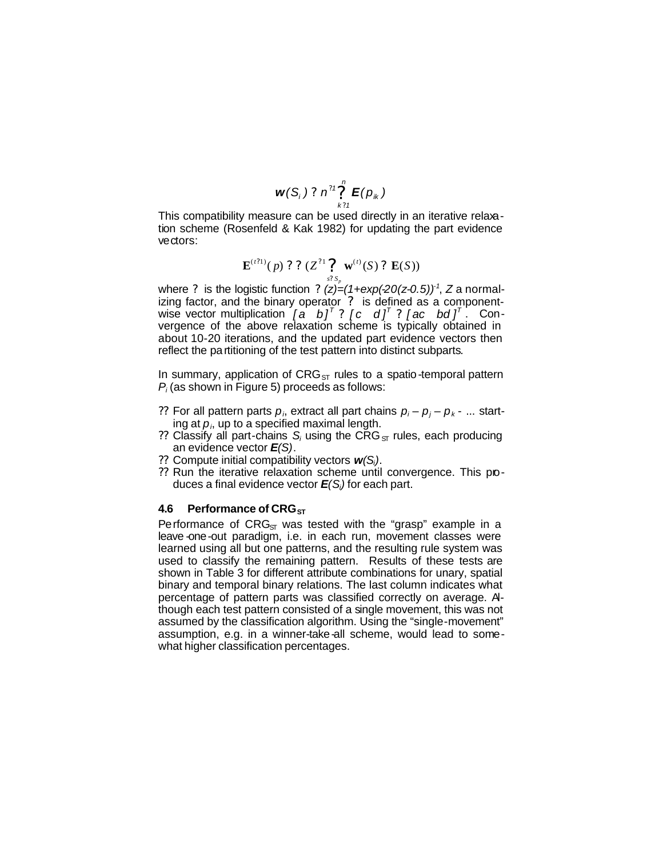$$
w(S_i) ? n^{?1} \sum_{k?1}^{n} E(p_k)
$$

This compatibility measure can be used directly in an iterative relaxation scheme (Rosenfeld & Kak 1982) for updating the part evidence vectors:

$$
\mathbf{E}^{(t?1)}(p) ? ? (Z^{?1} \underset{s? s_p}{?} \mathbf{w}^{(t)}(S) ? \mathbf{E}(S))
$$

where ? is the logistic function ? (z)=(1+exp(-20(z-0.5))<sup>-1</sup>, Z a normalizing factor, and the binary operator ? is defined as a componentwise vector multiplication  $[a \;\; b]^{\scriptscriptstyle\mathsf{T}}$  ?  $[c \;\; d]^{\scriptscriptstyle\mathsf{T}}$  ?  $[ac \;\; bd]^{\scriptscriptstyle\mathsf{T}}$  . Convergence of the above relaxation scheme is typically obtained in about 10-20 iterations, and the updated part evidence vectors then reflect the partitioning of the test pattern into distinct subparts.

In summary, application of  $CRG<sub>ST</sub>$  rules to a spatio-temporal pattern *Pi* (as shown in Figure 5) proceeds as follows:

- ?? For all pattern parts  $p_i$ , extract all part chains  $p_i p_j p_k ...$  starting at *p<sup>i</sup>* , up to a specified maximal length.
- ?? Classify all part-chains  $S_i$  using the CRG<sub>ST</sub> rules, each producing an evidence vector *E(S)*.
- ?? Compute initial compatibility vectors *w(Si)*.
- ?? Run the iterative relaxation scheme until convergence. This produces a final evidence vector *E(Si)* for each part.

#### **4.6 Performance of CRG**<sub>ST</sub>

Performance of  $CRG<sub>ST</sub>$  was tested with the "grasp" example in a leave one-out paradigm, i.e. in each run, movement classes were learned using all but one patterns, and the resulting rule system was used to classify the remaining pattern. Results of these tests are shown in Table 3 for different attribute combinations for unary, spatial binary and temporal binary relations. The last column indicates what percentage of pattern parts was classified correctly on average. Although each test pattern consisted of a single movement, this was not assumed by the classification algorithm. Using the "single-movement" assumption, e.g. in a winner-take-all scheme, would lead to somewhat higher classification percentages.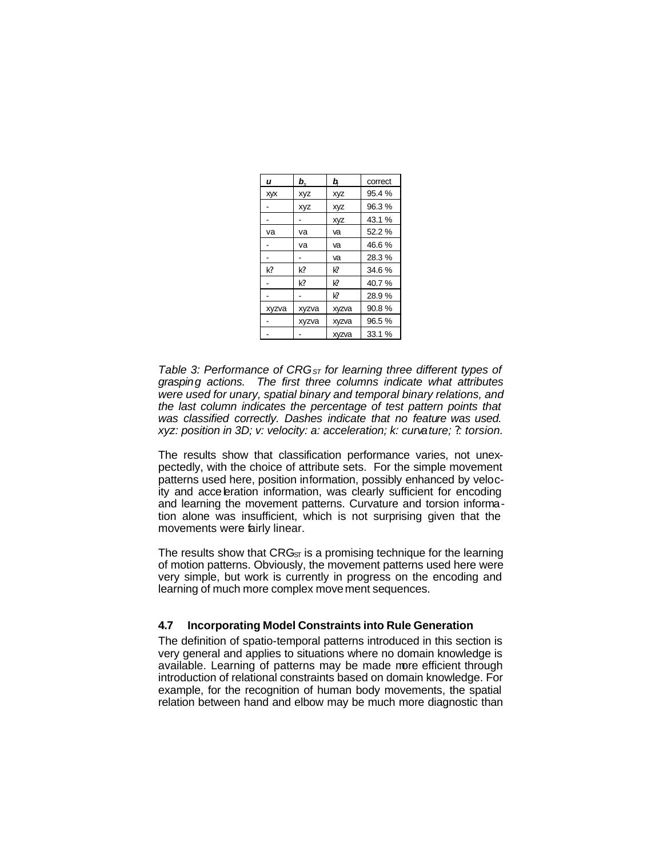| u     | $\bm{b}_{\mathrm{s}}$ | b,         | correct |
|-------|-----------------------|------------|---------|
| XVX   | <b>XVZ</b>            | xyz        | 95.4%   |
|       | <b>XYZ</b>            | xyz        | 96.3%   |
|       |                       | <b>XVZ</b> | 43.1%   |
| va    | va                    | va         | 52.2 %  |
|       | va                    | va         | 46.6%   |
|       |                       | va         | 28.3%   |
| K?    | K?                    | Ю          | 34.6%   |
|       | k?                    | Ю          | 40.7%   |
|       |                       | Ю          | 28.9%   |
| xyzva | xyzva                 | xyzva      | 90.8%   |
|       | xyzva                 | xyzva      | 96.5%   |
|       |                       | xyzva      | 33.1 %  |

*Table 3: Performance of CRGST for learning three different types of grasping actions. The first three columns indicate what attributes were used for unary, spatial binary and temporal binary relations, and the last column indicates the percentage of test pattern points that was classified correctly. Dashes indicate that no feature was used. xyz: position in 3D; v: velocity: a: acceleration; k: curvature; ?: torsion.*

The results show that classification performance varies, not unexpectedly, with the choice of attribute sets. For the simple movement patterns used here, position information, possibly enhanced by velocity and acceleration information, was clearly sufficient for encoding and learning the movement patterns. Curvature and torsion information alone was insufficient, which is not surprising given that the movements were fairly linear.

The results show that  $CRG<sub>ST</sub>$  is a promising technique for the learning of motion patterns. Obviously, the movement patterns used here were very simple, but work is currently in progress on the encoding and learning of much more complex movement sequences.

### **4.7 Incorporating Model Constraints into Rule Generation**

The definition of spatio-temporal patterns introduced in this section is very general and applies to situations where no domain knowledge is available. Learning of patterns may be made more efficient through introduction of relational constraints based on domain knowledge. For example, for the recognition of human body movements, the spatial relation between hand and elbow may be much more diagnostic than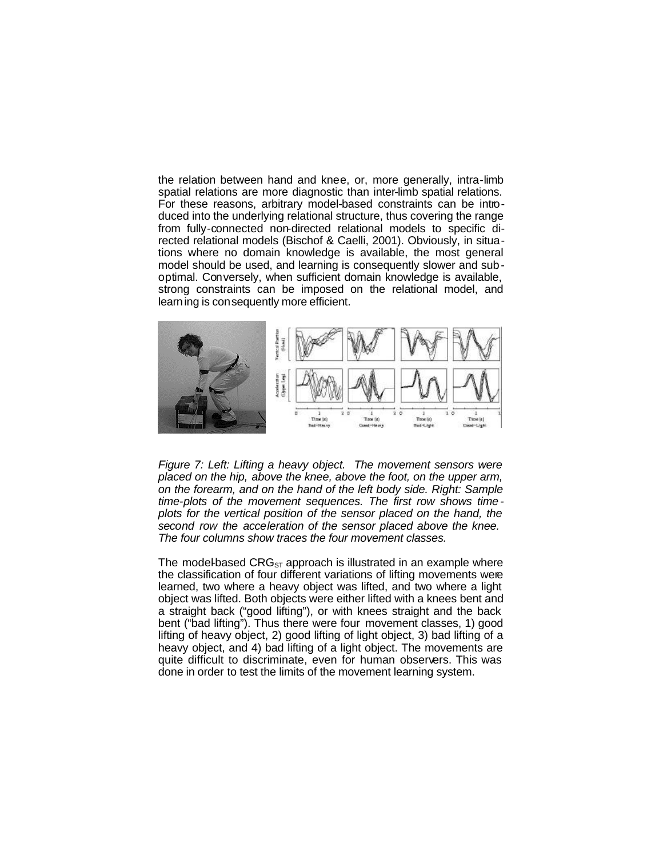the relation between hand and knee, or, more generally, intra-limb spatial relations are more diagnostic than inter-limb spatial relations. For these reasons, arbitrary model-based constraints can be introduced into the underlying relational structure, thus covering the range from fully-connected non-directed relational models to specific directed relational models (Bischof & Caelli, 2001). Obviously, in situations where no domain knowledge is available, the most general model should be used, and learning is consequently slower and suboptimal. Conversely, when sufficient domain knowledge is available, strong constraints can be imposed on the relational model, and learning is consequently more efficient.



*Figure 7: Left: Lifting a heavy object. The movement sensors were placed on the hip, above the knee, above the foot, on the upper arm, on the forearm, and on the hand of the left body side. Right: Sample time-plots of the movement sequences. The first row shows timeplots for the vertical position of the sensor placed on the hand, the second row the acceleration of the sensor placed above the knee. The four columns show traces the four movement classes.*

The model-based  $CRG<sub>ST</sub>$  approach is illustrated in an example where the classification of four different variations of lifting movements were learned, two where a heavy object was lifted, and two where a light object was lifted. Both objects were either lifted with a knees bent and a straight back ("good lifting"), or with knees straight and the back bent ("bad lifting"). Thus there were four movement classes, 1) good lifting of heavy object, 2) good lifting of light object, 3) bad lifting of a heavy object, and 4) bad lifting of a light object. The movements are quite difficult to discriminate, even for human observers. This was done in order to test the limits of the movement learning system.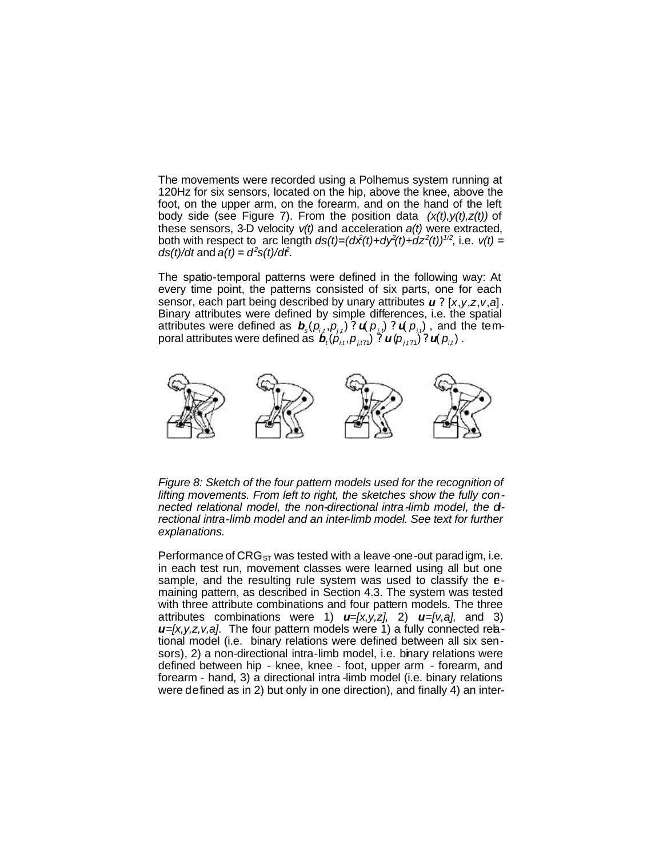The movements were recorded using a Polhemus system running at 120Hz for six sensors, located on the hip, above the knee, above the foot, on the upper arm, on the forearm, and on the hand of the left body side (see Figure 7). From the position data *(x(t),y(t),z(t))* of these sensors, 3-D velocity *v(t)* and acceleration *a(t)* were extracted, both with respect to arc length  $ds(t)=(d\hat{x}(t)+d\hat{y}(t)+d\hat{z}^2(t))$ <sup>1/2</sup>, i.e.  $v(t)=$  $ds(t)/dt$  and  $a(t) = d^2s(t)/dt^2$ .

The spatio-temporal patterns were defined in the following way: At every time point, the patterns consisted of six parts, one for each sensor, each part being described by unary attributes  $\boldsymbol{u}$  ? [x,y,z,v,a]. Binary attributes were defined by simple differences, i.e. the spatial attributes were defined as  $\bm{b}_s(\rho_{i,t},\rho_{j,t})$  ?  $\bm{u}(\rho_{j,t})$  ?  $\bm{u}(\rho_{i,t})$  , and the temporal attributes were defined as  $\bm{\ddot{b}}_{\iota}(\rho_{\iota,\iota}^{\circ},\rho_{\jmath,\iota\iota\iota})$   $\mathbin{\overset{\delta}{?}}$   $\bm{\iota}(\rho_{\jmath,\iota\iota\iota})$   $\mathbin{\overset{\delta}{?}}$ 



Figure 8: Sketch of the four pattern models used for the recognition of *lifting movements. From left to right, the sketches show the fully connected relational model, the non-directional intra-limb model, the directional intra-limb model and an inter-limb model. See text for further explanations.*

Performance of  $CRG<sub>ST</sub>$  was tested with a leave-one-out paradigm, i.e. in each test run, movement classes were learned using all but one sample, and the resulting rule system was used to classify the emaining pattern, as described in Section 4.3. The system was tested with three attribute combinations and four pattern models. The three attributes combinations were 1) *u=[x,y,z]*, 2) *u=[v,a],* and 3) *u*=[x,y,z,v,a]. The four pattern models were 1) a fully connected relational model (i.e. binary relations were defined between all six sensors), 2) a non-directional intra-limb model, i.e. binary relations were defined between hip - knee, knee - foot, upper arm - forearm, and forearm - hand, 3) a directional intra -limb model (i.e. binary relations were defined as in 2) but only in one direction), and finally 4) an inter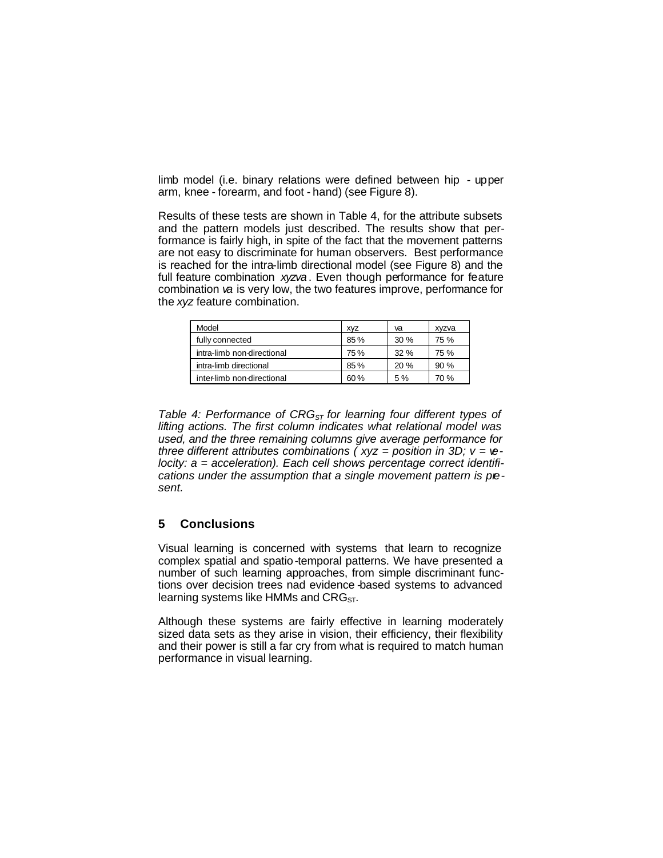limb model (i.e. binary relations were defined between hip - upper arm, knee - forearm, and foot - hand) (see Figure 8).

Results of these tests are shown in Table 4, for the attribute subsets and the pattern models just described. The results show that performance is fairly high, in spite of the fact that the movement patterns are not easy to discriminate for human observers. Best performance is reached for the intra-limb directional model (see Figure 8) and the full feature combination *xyzva* . Even though performance for feature combination *va* is very low, the two features improve, performance for the *xyz* feature combination.

| Model                      | <b>XVZ</b> | va  | xyzva |
|----------------------------|------------|-----|-------|
| fully connected            | 85%        | 30% | 75 %  |
| intra-limb non-directional | 75%        | 32% | 75 %  |
| intra-limb directional     | 85%        | 20% | 90%   |
| inter-limb non-directional | 60%        | 5%  | 70 %  |

*Table 4: Performance of CRGST for learning four different types of lifting actions. The first column indicates what relational model was used, and the three remaining columns give average performance for three different attributes combinations ( xyz = position in 3D; v = velocity: a = acceleration). Each cell shows percentage correct identifi*cations under the assumption that a single movement pattern is pie*sent.*

## **5 Conclusions**

Visual learning is concerned with systems that learn to recognize complex spatial and spatio-temporal patterns. We have presented a number of such learning approaches, from simple discriminant functions over decision trees nad evidence -based systems to advanced learning systems like HMMs and  $CRG<sub>ST</sub>$ .

Although these systems are fairly effective in learning moderately sized data sets as they arise in vision, their efficiency, their flexibility and their power is still a far cry from what is required to match human performance in visual learning.